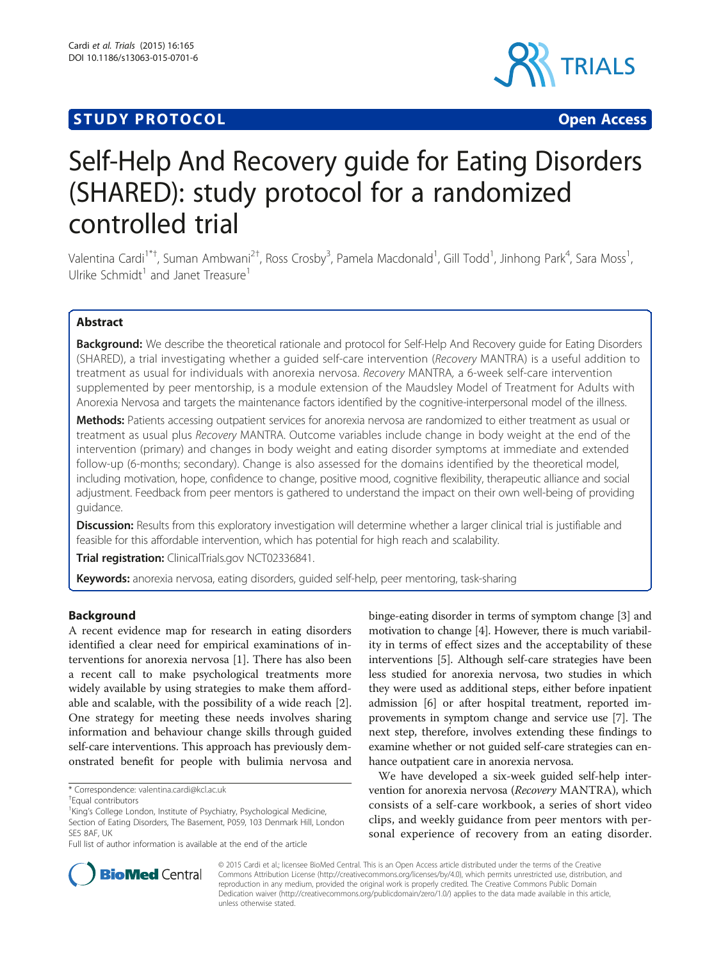# **STUDY PROTOCOL CONSUMING THE CONSUMING OPEN ACCESS**



# Self-Help And Recovery guide for Eating Disorders (SHARED): study protocol for a randomized controlled trial

Valentina Cardi<sup>1\*†</sup>, Suman Ambwani<sup>2†</sup>, Ross Crosby<sup>3</sup>, Pamela Macdonald<sup>1</sup>, Gill Todd<sup>1</sup>, Jinhong Park<sup>4</sup>, Sara Moss<sup>1</sup> , Ulrike Schmidt<sup>1</sup> and Janet Treasure<sup>1</sup>

# Abstract

Background: We describe the theoretical rationale and protocol for Self-Help And Recovery guide for Eating Disorders (SHARED), a trial investigating whether a guided self-care intervention (Recovery MANTRA) is a useful addition to treatment as usual for individuals with anorexia nervosa. Recovery MANTRA, a 6-week self-care intervention supplemented by peer mentorship, is a module extension of the Maudsley Model of Treatment for Adults with Anorexia Nervosa and targets the maintenance factors identified by the cognitive-interpersonal model of the illness.

Methods: Patients accessing outpatient services for anorexia nervosa are randomized to either treatment as usual or treatment as usual plus Recovery MANTRA. Outcome variables include change in body weight at the end of the intervention (primary) and changes in body weight and eating disorder symptoms at immediate and extended follow-up (6-months; secondary). Change is also assessed for the domains identified by the theoretical model, including motivation, hope, confidence to change, positive mood, cognitive flexibility, therapeutic alliance and social adjustment. Feedback from peer mentors is gathered to understand the impact on their own well-being of providing guidance.

Discussion: Results from this exploratory investigation will determine whether a larger clinical trial is justifiable and feasible for this affordable intervention, which has potential for high reach and scalability.

Trial registration: ClinicalTrials.gov [NCT02336841](https://www.clinicaltrials.gov/ct2/show/NCT02336841?term=NCT02336841&rank=1).

Keywords: anorexia nervosa, eating disorders, quided self-help, peer mentoring, task-sharing

# Background

A recent evidence map for research in eating disorders identified a clear need for empirical examinations of interventions for anorexia nervosa [[1](#page-8-0)]. There has also been a recent call to make psychological treatments more widely available by using strategies to make them affordable and scalable, with the possibility of a wide reach [\[2](#page-8-0)]. One strategy for meeting these needs involves sharing information and behaviour change skills through guided self-care interventions. This approach has previously demonstrated benefit for people with bulimia nervosa and

binge-eating disorder in terms of symptom change [\[3\]](#page-9-0) and motivation to change [[4](#page-9-0)]. However, there is much variability in terms of effect sizes and the acceptability of these interventions [\[5](#page-9-0)]. Although self-care strategies have been less studied for anorexia nervosa, two studies in which they were used as additional steps, either before inpatient admission [\[6\]](#page-9-0) or after hospital treatment, reported improvements in symptom change and service use [\[7\]](#page-9-0). The next step, therefore, involves extending these findings to examine whether or not guided self-care strategies can enhance outpatient care in anorexia nervosa.

We have developed a six-week guided self-help intervention for anorexia nervosa (Recovery MANTRA), which consists of a self-care workbook, a series of short video clips, and weekly guidance from peer mentors with personal experience of recovery from an eating disorder.



© 2015 Cardi et al.; licensee BioMed Central. This is an Open Access article distributed under the terms of the Creative Commons Attribution License [\(http://creativecommons.org/licenses/by/4.0\)](http://creativecommons.org/licenses/by/4.0), which permits unrestricted use, distribution, and reproduction in any medium, provided the original work is properly credited. The Creative Commons Public Domain Dedication waiver [\(http://creativecommons.org/publicdomain/zero/1.0/](http://creativecommons.org/publicdomain/zero/1.0/)) applies to the data made available in this article, unless otherwise stated.

<sup>\*</sup> Correspondence: [valentina.cardi@kcl.ac.uk](mailto:valentina.cardi@kcl.ac.uk) †

Equal contributors

<sup>&</sup>lt;sup>1</sup>King's College London, Institute of Psychiatry, Psychological Medicine, Section of Eating Disorders, The Basement, P059, 103 Denmark Hill, London SE5 8AF, UK

Full list of author information is available at the end of the article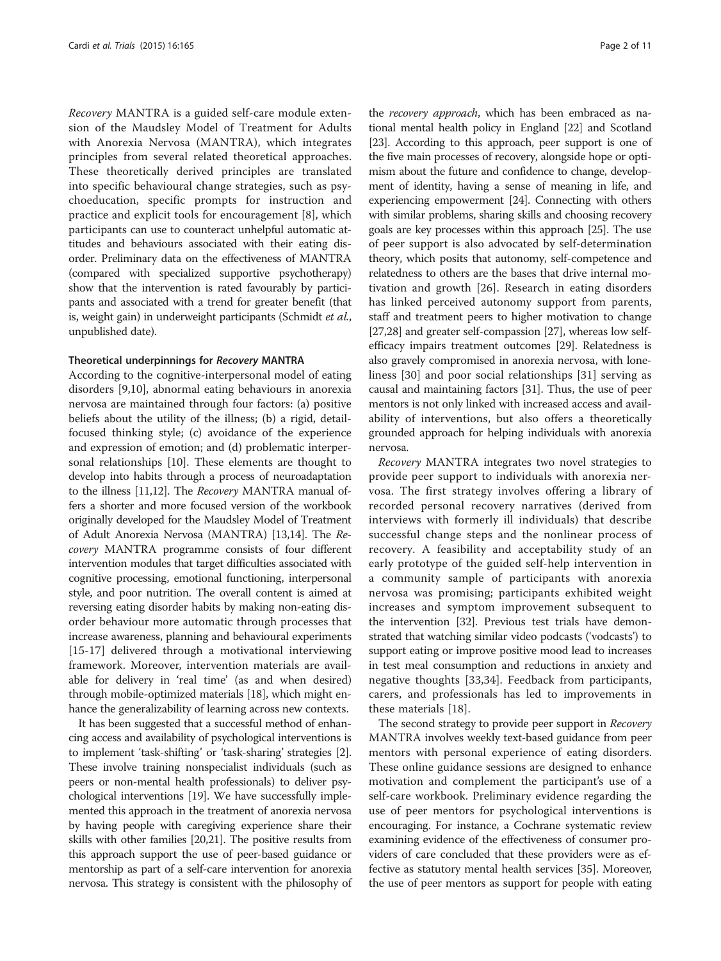Recovery MANTRA is a guided self-care module extension of the Maudsley Model of Treatment for Adults with Anorexia Nervosa (MANTRA), which integrates principles from several related theoretical approaches. These theoretically derived principles are translated into specific behavioural change strategies, such as psychoeducation, specific prompts for instruction and practice and explicit tools for encouragement [\[8](#page-9-0)], which participants can use to counteract unhelpful automatic attitudes and behaviours associated with their eating disorder. Preliminary data on the effectiveness of MANTRA (compared with specialized supportive psychotherapy) show that the intervention is rated favourably by participants and associated with a trend for greater benefit (that is, weight gain) in underweight participants (Schmidt et al., unpublished date).

#### Theoretical underpinnings for Recovery MANTRA

According to the cognitive-interpersonal model of eating disorders [[9,10\]](#page-9-0), abnormal eating behaviours in anorexia nervosa are maintained through four factors: (a) positive beliefs about the utility of the illness; (b) a rigid, detailfocused thinking style; (c) avoidance of the experience and expression of emotion; and (d) problematic interpersonal relationships [\[10](#page-9-0)]. These elements are thought to develop into habits through a process of neuroadaptation to the illness [\[11,12](#page-9-0)]. The Recovery MANTRA manual offers a shorter and more focused version of the workbook originally developed for the Maudsley Model of Treatment of Adult Anorexia Nervosa (MANTRA) [[13,14\]](#page-9-0). The Recovery MANTRA programme consists of four different intervention modules that target difficulties associated with cognitive processing, emotional functioning, interpersonal style, and poor nutrition. The overall content is aimed at reversing eating disorder habits by making non-eating disorder behaviour more automatic through processes that increase awareness, planning and behavioural experiments [[15-17\]](#page-9-0) delivered through a motivational interviewing framework. Moreover, intervention materials are available for delivery in 'real time' (as and when desired) through mobile-optimized materials [[18\]](#page-9-0), which might enhance the generalizability of learning across new contexts.

It has been suggested that a successful method of enhancing access and availability of psychological interventions is to implement 'task-shifting' or 'task-sharing' strategies [[2](#page-8-0)]. These involve training nonspecialist individuals (such as peers or non-mental health professionals) to deliver psychological interventions [\[19\]](#page-9-0). We have successfully implemented this approach in the treatment of anorexia nervosa by having people with caregiving experience share their skills with other families [\[20,21](#page-9-0)]. The positive results from this approach support the use of peer-based guidance or mentorship as part of a self-care intervention for anorexia nervosa. This strategy is consistent with the philosophy of

the recovery approach, which has been embraced as national mental health policy in England [\[22\]](#page-9-0) and Scotland [[23](#page-9-0)]. According to this approach, peer support is one of the five main processes of recovery, alongside hope or optimism about the future and confidence to change, development of identity, having a sense of meaning in life, and experiencing empowerment [[24](#page-9-0)]. Connecting with others with similar problems, sharing skills and choosing recovery goals are key processes within this approach [[25](#page-9-0)]. The use of peer support is also advocated by self-determination theory, which posits that autonomy, self-competence and relatedness to others are the bases that drive internal motivation and growth [\[26](#page-9-0)]. Research in eating disorders has linked perceived autonomy support from parents, staff and treatment peers to higher motivation to change [[27](#page-9-0),[28](#page-9-0)] and greater self-compassion [\[27](#page-9-0)], whereas low selfefficacy impairs treatment outcomes [\[29\]](#page-9-0). Relatedness is also gravely compromised in anorexia nervosa, with loneliness [[30\]](#page-9-0) and poor social relationships [[31\]](#page-9-0) serving as causal and maintaining factors [\[31\]](#page-9-0). Thus, the use of peer mentors is not only linked with increased access and availability of interventions, but also offers a theoretically grounded approach for helping individuals with anorexia nervosa.

Recovery MANTRA integrates two novel strategies to provide peer support to individuals with anorexia nervosa. The first strategy involves offering a library of recorded personal recovery narratives (derived from interviews with formerly ill individuals) that describe successful change steps and the nonlinear process of recovery. A feasibility and acceptability study of an early prototype of the guided self-help intervention in a community sample of participants with anorexia nervosa was promising; participants exhibited weight increases and symptom improvement subsequent to the intervention [[32\]](#page-9-0). Previous test trials have demonstrated that watching similar video podcasts ('vodcasts') to support eating or improve positive mood lead to increases in test meal consumption and reductions in anxiety and negative thoughts [[33,34\]](#page-9-0). Feedback from participants, carers, and professionals has led to improvements in these materials [\[18](#page-9-0)].

The second strategy to provide peer support in Recovery MANTRA involves weekly text-based guidance from peer mentors with personal experience of eating disorders. These online guidance sessions are designed to enhance motivation and complement the participant's use of a self-care workbook. Preliminary evidence regarding the use of peer mentors for psychological interventions is encouraging. For instance, a Cochrane systematic review examining evidence of the effectiveness of consumer providers of care concluded that these providers were as effective as statutory mental health services [[35](#page-9-0)]. Moreover, the use of peer mentors as support for people with eating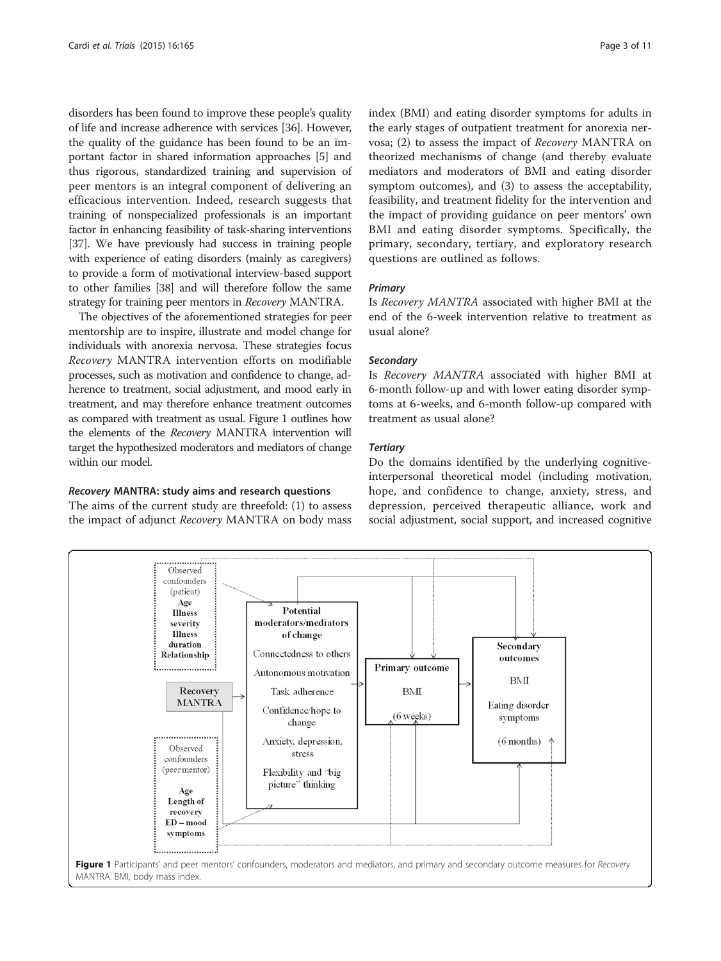<span id="page-2-0"></span>disorders has been found to improve these people's quality of life and increase adherence with services [[36](#page-9-0)]. However, the quality of the guidance has been found to be an important factor in shared information approaches [[5](#page-9-0)] and thus rigorous, standardized training and supervision of peer mentors is an integral component of delivering an efficacious intervention. Indeed, research suggests that training of nonspecialized professionals is an important factor in enhancing feasibility of task-sharing interventions [[37](#page-9-0)]. We have previously had success in training people with experience of eating disorders (mainly as caregivers) to provide a form of motivational interview-based support to other families [\[38](#page-9-0)] and will therefore follow the same strategy for training peer mentors in Recovery MANTRA.

The objectives of the aforementioned strategies for peer mentorship are to inspire, illustrate and model change for individuals with anorexia nervosa. These strategies focus Recovery MANTRA intervention efforts on modifiable processes, such as motivation and confidence to change, adherence to treatment, social adjustment, and mood early in treatment, and may therefore enhance treatment outcomes as compared with treatment as usual. Figure 1 outlines how the elements of the Recovery MANTRA intervention will target the hypothesized moderators and mediators of change within our model.

# Recovery MANTRA: study aims and research questions

The aims of the current study are threefold: (1) to assess the impact of adjunct Recovery MANTRA on body mass index (BMI) and eating disorder symptoms for adults in the early stages of outpatient treatment for anorexia nervosa; (2) to assess the impact of Recovery MANTRA on theorized mechanisms of change (and thereby evaluate mediators and moderators of BMI and eating disorder symptom outcomes), and (3) to assess the acceptability, feasibility, and treatment fidelity for the intervention and the impact of providing guidance on peer mentors' own BMI and eating disorder symptoms. Specifically, the primary, secondary, tertiary, and exploratory research questions are outlined as follows.

# Primary

Is Recovery MANTRA associated with higher BMI at the end of the 6-week intervention relative to treatment as usual alone?

# **Secondary**

Is Recovery MANTRA associated with higher BMI at 6-month follow-up and with lower eating disorder symptoms at 6-weeks, and 6-month follow-up compared with treatment as usual alone?

# **Tertiary**

Do the domains identified by the underlying cognitiveinterpersonal theoretical model (including motivation, hope, and confidence to change, anxiety, stress, and depression, perceived therapeutic alliance, work and social adjustment, social support, and increased cognitive

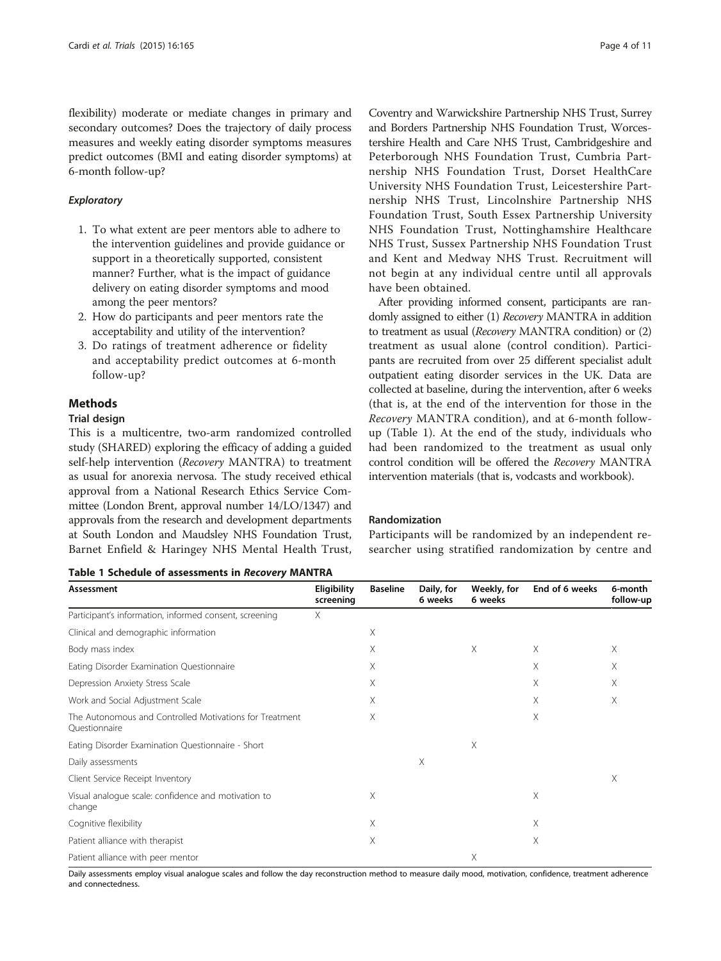<span id="page-3-0"></span>flexibility) moderate or mediate changes in primary and secondary outcomes? Does the trajectory of daily process measures and weekly eating disorder symptoms measures predict outcomes (BMI and eating disorder symptoms) at 6-month follow-up?

# Exploratory

- 1. To what extent are peer mentors able to adhere to the intervention guidelines and provide guidance or support in a theoretically supported, consistent manner? Further, what is the impact of guidance delivery on eating disorder symptoms and mood among the peer mentors?
- 2. How do participants and peer mentors rate the acceptability and utility of the intervention?
- 3. Do ratings of treatment adherence or fidelity and acceptability predict outcomes at 6-month follow-up?

# Methods

# Trial design

This is a multicentre, two-arm randomized controlled study (SHARED) exploring the efficacy of adding a guided self-help intervention (Recovery MANTRA) to treatment as usual for anorexia nervosa. The study received ethical approval from a National Research Ethics Service Committee (London Brent, approval number 14/LO/1347) and approvals from the research and development departments at South London and Maudsley NHS Foundation Trust, Barnet Enfield & Haringey NHS Mental Health Trust,

Table 1 Schedule of assessments in Recovery MANTRA

Coventry and Warwickshire Partnership NHS Trust, Surrey and Borders Partnership NHS Foundation Trust, Worcestershire Health and Care NHS Trust, Cambridgeshire and Peterborough NHS Foundation Trust, Cumbria Partnership NHS Foundation Trust, Dorset HealthCare University NHS Foundation Trust, Leicestershire Partnership NHS Trust, Lincolnshire Partnership NHS Foundation Trust, South Essex Partnership University NHS Foundation Trust, Nottinghamshire Healthcare NHS Trust, Sussex Partnership NHS Foundation Trust and Kent and Medway NHS Trust. Recruitment will not begin at any individual centre until all approvals have been obtained.

After providing informed consent, participants are randomly assigned to either (1) Recovery MANTRA in addition to treatment as usual (Recovery MANTRA condition) or (2) treatment as usual alone (control condition). Participants are recruited from over 25 different specialist adult outpatient eating disorder services in the UK. Data are collected at baseline, during the intervention, after 6 weeks (that is, at the end of the intervention for those in the Recovery MANTRA condition), and at 6-month followup (Table 1). At the end of the study, individuals who had been randomized to the treatment as usual only control condition will be offered the Recovery MANTRA intervention materials (that is, vodcasts and workbook).

# Randomization

Participants will be randomized by an independent researcher using stratified randomization by centre and

| Assessment                                                               | Eligibility<br>screening | <b>Baseline</b> | Daily, for<br>6 weeks | Weekly, for<br>6 weeks | End of 6 weeks | 6-month<br>follow-up |
|--------------------------------------------------------------------------|--------------------------|-----------------|-----------------------|------------------------|----------------|----------------------|
| Participant's information, informed consent, screening                   | X                        |                 |                       |                        |                |                      |
| Clinical and demographic information                                     |                          | X               |                       |                        |                |                      |
| Body mass index                                                          |                          | Χ               |                       | X                      | X              | X                    |
| Eating Disorder Examination Questionnaire                                |                          | X               |                       |                        | X              | X                    |
| Depression Anxiety Stress Scale                                          |                          | X               |                       |                        | X              | X                    |
| Work and Social Adjustment Scale                                         |                          | X               |                       |                        | X              | X                    |
| The Autonomous and Controlled Motivations for Treatment<br>Questionnaire |                          | Χ               |                       |                        | X              |                      |
| Eating Disorder Examination Questionnaire - Short                        |                          |                 |                       | X                      |                |                      |
| Daily assessments                                                        |                          |                 | X                     |                        |                |                      |
| Client Service Receipt Inventory                                         |                          |                 |                       |                        |                | X                    |
| Visual analogue scale: confidence and motivation to<br>change            |                          | Χ               |                       |                        | Χ              |                      |
| Cognitive flexibility                                                    |                          | X               |                       |                        | X              |                      |
| Patient alliance with therapist                                          |                          | X               |                       |                        | X              |                      |
| Patient alliance with peer mentor                                        |                          |                 |                       | Χ                      |                |                      |

Daily assessments employ visual analogue scales and follow the day reconstruction method to measure daily mood, motivation, confidence, treatment adherence and connectedness.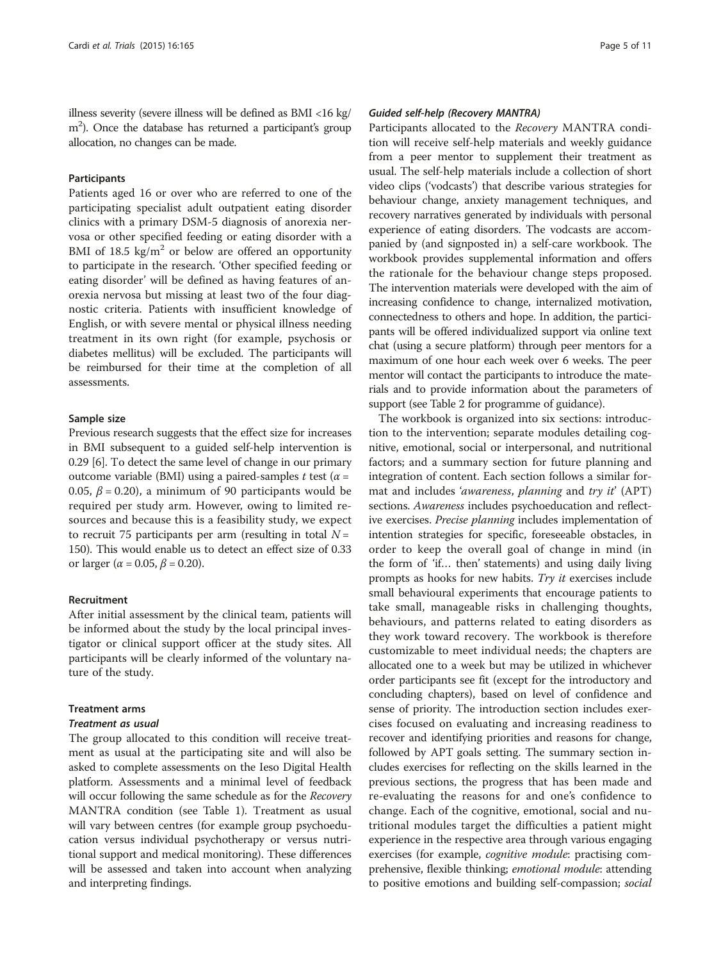illness severity (severe illness will be defined as BMI <16 kg/ m<sup>2</sup>). Once the database has returned a participant's group allocation, no changes can be made.

# Participants

Patients aged 16 or over who are referred to one of the participating specialist adult outpatient eating disorder clinics with a primary DSM-5 diagnosis of anorexia nervosa or other specified feeding or eating disorder with a BMI of 18.5 kg/m<sup>2</sup> or below are offered an opportunity to participate in the research. 'Other specified feeding or eating disorder' will be defined as having features of anorexia nervosa but missing at least two of the four diagnostic criteria. Patients with insufficient knowledge of English, or with severe mental or physical illness needing treatment in its own right (for example, psychosis or diabetes mellitus) will be excluded. The participants will be reimbursed for their time at the completion of all assessments.

#### Sample size

Previous research suggests that the effect size for increases in BMI subsequent to a guided self-help intervention is 0.29 [[6\]](#page-9-0). To detect the same level of change in our primary outcome variable (BMI) using a paired-samples t test ( $\alpha$  = 0.05,  $\beta$  = 0.20), a minimum of 90 participants would be required per study arm. However, owing to limited resources and because this is a feasibility study, we expect to recruit 75 participants per arm (resulting in total  $N =$ 150). This would enable us to detect an effect size of 0.33 or larger ( $\alpha$  = 0.05,  $\beta$  = 0.20).

# Recruitment

After initial assessment by the clinical team, patients will be informed about the study by the local principal investigator or clinical support officer at the study sites. All participants will be clearly informed of the voluntary nature of the study.

# Treatment arms

#### Treatment as usual

The group allocated to this condition will receive treatment as usual at the participating site and will also be asked to complete assessments on the Ieso Digital Health platform. Assessments and a minimal level of feedback will occur following the same schedule as for the *Recovery* MANTRA condition (see Table [1](#page-3-0)). Treatment as usual will vary between centres (for example group psychoeducation versus individual psychotherapy or versus nutritional support and medical monitoring). These differences will be assessed and taken into account when analyzing and interpreting findings.

#### Guided self-help (Recovery MANTRA)

Participants allocated to the Recovery MANTRA condition will receive self-help materials and weekly guidance from a peer mentor to supplement their treatment as usual. The self-help materials include a collection of short video clips ('vodcasts') that describe various strategies for behaviour change, anxiety management techniques, and recovery narratives generated by individuals with personal experience of eating disorders. The vodcasts are accompanied by (and signposted in) a self-care workbook. The workbook provides supplemental information and offers the rationale for the behaviour change steps proposed. The intervention materials were developed with the aim of increasing confidence to change, internalized motivation, connectedness to others and hope. In addition, the participants will be offered individualized support via online text chat (using a secure platform) through peer mentors for a maximum of one hour each week over 6 weeks. The peer mentor will contact the participants to introduce the materials and to provide information about the parameters of support (see Table [2](#page-5-0) for programme of guidance).

The workbook is organized into six sections: introduction to the intervention; separate modules detailing cognitive, emotional, social or interpersonal, and nutritional factors; and a summary section for future planning and integration of content. Each section follows a similar format and includes 'awareness, planning and try it' (APT) sections. Awareness includes psychoeducation and reflective exercises. Precise planning includes implementation of intention strategies for specific, foreseeable obstacles, in order to keep the overall goal of change in mind (in the form of 'if… then' statements) and using daily living prompts as hooks for new habits. Try it exercises include small behavioural experiments that encourage patients to take small, manageable risks in challenging thoughts, behaviours, and patterns related to eating disorders as they work toward recovery. The workbook is therefore customizable to meet individual needs; the chapters are allocated one to a week but may be utilized in whichever order participants see fit (except for the introductory and concluding chapters), based on level of confidence and sense of priority. The introduction section includes exercises focused on evaluating and increasing readiness to recover and identifying priorities and reasons for change, followed by APT goals setting. The summary section includes exercises for reflecting on the skills learned in the previous sections, the progress that has been made and re-evaluating the reasons for and one's confidence to change. Each of the cognitive, emotional, social and nutritional modules target the difficulties a patient might experience in the respective area through various engaging exercises (for example, *cognitive module*: practising comprehensive, flexible thinking; emotional module: attending to positive emotions and building self-compassion; social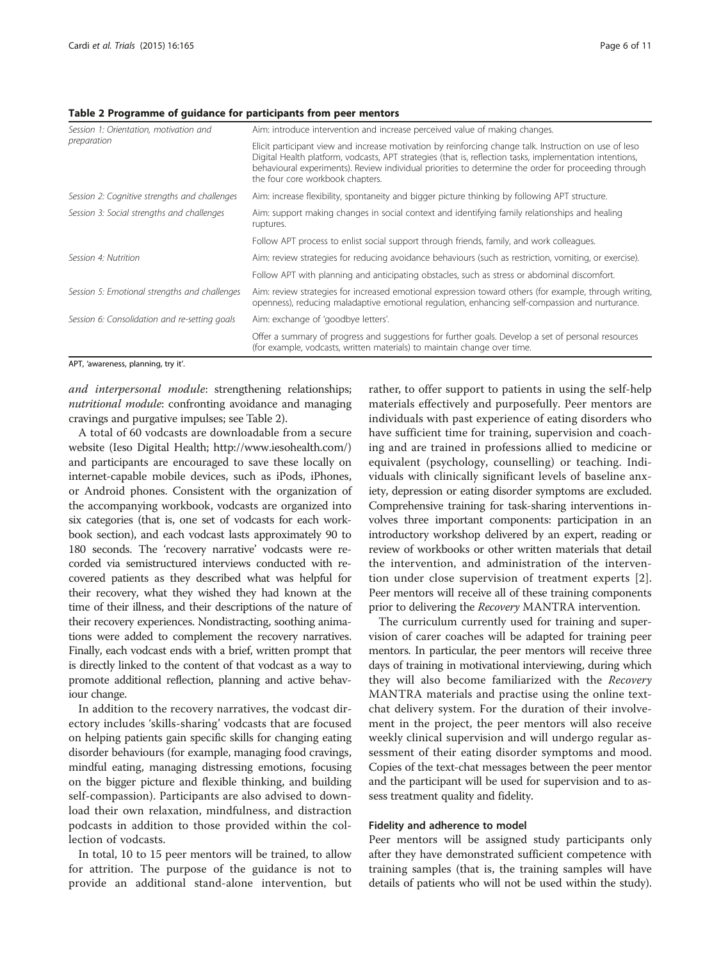# <span id="page-5-0"></span>Table 2 Programme of guidance for participants from peer mentors

| Session 1: Orientation, motivation and        | Aim: introduce intervention and increase perceived value of making changes.                                                                                                                                                                                                                                                                                    |  |  |  |  |
|-----------------------------------------------|----------------------------------------------------------------------------------------------------------------------------------------------------------------------------------------------------------------------------------------------------------------------------------------------------------------------------------------------------------------|--|--|--|--|
| preparation                                   | Elicit participant view and increase motivation by reinforcing change talk. Instruction on use of leso<br>Digital Health platform, vodcasts, APT strategies (that is, reflection tasks, implementation intentions,<br>behavioural experiments). Review individual priorities to determine the order for proceeding through<br>the four core workbook chapters. |  |  |  |  |
| Session 2: Cognitive strengths and challenges | Aim: increase flexibility, spontaneity and bigger picture thinking by following APT structure.                                                                                                                                                                                                                                                                 |  |  |  |  |
| Session 3: Social strengths and challenges    | Aim: support making changes in social context and identifying family relationships and healing<br>ruptures.                                                                                                                                                                                                                                                    |  |  |  |  |
|                                               | Follow APT process to enlist social support through friends, family, and work colleagues.                                                                                                                                                                                                                                                                      |  |  |  |  |
| Session 4: Nutrition                          | Aim: review strategies for reducing avoidance behaviours (such as restriction, vomiting, or exercise).                                                                                                                                                                                                                                                         |  |  |  |  |
|                                               | Follow APT with planning and anticipating obstacles, such as stress or abdominal discomfort.                                                                                                                                                                                                                                                                   |  |  |  |  |
| Session 5: Emotional strengths and challenges | Aim: review strategies for increased emotional expression toward others (for example, through writing,<br>openness), reducing maladaptive emotional regulation, enhancing self-compassion and nurturance.                                                                                                                                                      |  |  |  |  |
| Session 6: Consolidation and re-setting goals | Aim: exchange of 'goodbye letters'.                                                                                                                                                                                                                                                                                                                            |  |  |  |  |
|                                               | Offer a summary of progress and suggestions for further goals. Develop a set of personal resources<br>(for example, vodcasts, written materials) to maintain change over time.                                                                                                                                                                                 |  |  |  |  |

APT, 'awareness, planning, try it'.

and interpersonal module: strengthening relationships; nutritional module: confronting avoidance and managing cravings and purgative impulses; see Table 2).

A total of 60 vodcasts are downloadable from a secure website (Ieso Digital Health;<http://www.iesohealth.com/>) and participants are encouraged to save these locally on internet-capable mobile devices, such as iPods, iPhones, or Android phones. Consistent with the organization of the accompanying workbook, vodcasts are organized into six categories (that is, one set of vodcasts for each workbook section), and each vodcast lasts approximately 90 to 180 seconds. The 'recovery narrative' vodcasts were recorded via semistructured interviews conducted with recovered patients as they described what was helpful for their recovery, what they wished they had known at the time of their illness, and their descriptions of the nature of their recovery experiences. Nondistracting, soothing animations were added to complement the recovery narratives. Finally, each vodcast ends with a brief, written prompt that is directly linked to the content of that vodcast as a way to promote additional reflection, planning and active behaviour change.

In addition to the recovery narratives, the vodcast directory includes 'skills-sharing' vodcasts that are focused on helping patients gain specific skills for changing eating disorder behaviours (for example, managing food cravings, mindful eating, managing distressing emotions, focusing on the bigger picture and flexible thinking, and building self-compassion). Participants are also advised to download their own relaxation, mindfulness, and distraction podcasts in addition to those provided within the collection of vodcasts.

In total, 10 to 15 peer mentors will be trained, to allow for attrition. The purpose of the guidance is not to provide an additional stand-alone intervention, but

rather, to offer support to patients in using the self-help materials effectively and purposefully. Peer mentors are individuals with past experience of eating disorders who have sufficient time for training, supervision and coaching and are trained in professions allied to medicine or equivalent (psychology, counselling) or teaching. Individuals with clinically significant levels of baseline anxiety, depression or eating disorder symptoms are excluded. Comprehensive training for task-sharing interventions involves three important components: participation in an introductory workshop delivered by an expert, reading or review of workbooks or other written materials that detail the intervention, and administration of the intervention under close supervision of treatment experts [[2](#page-8-0)]. Peer mentors will receive all of these training components prior to delivering the Recovery MANTRA intervention.

The curriculum currently used for training and supervision of carer coaches will be adapted for training peer mentors. In particular, the peer mentors will receive three days of training in motivational interviewing, during which they will also become familiarized with the Recovery MANTRA materials and practise using the online textchat delivery system. For the duration of their involvement in the project, the peer mentors will also receive weekly clinical supervision and will undergo regular assessment of their eating disorder symptoms and mood. Copies of the text-chat messages between the peer mentor and the participant will be used for supervision and to assess treatment quality and fidelity.

### Fidelity and adherence to model

Peer mentors will be assigned study participants only after they have demonstrated sufficient competence with training samples (that is, the training samples will have details of patients who will not be used within the study).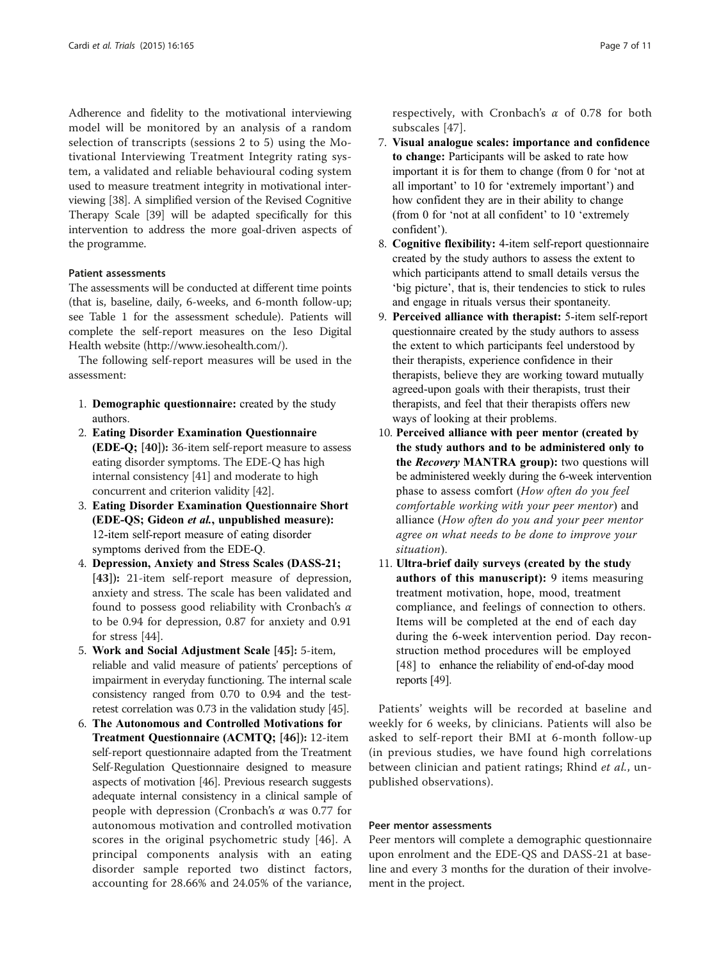Adherence and fidelity to the motivational interviewing model will be monitored by an analysis of a random selection of transcripts (sessions 2 to 5) using the Motivational Interviewing Treatment Integrity rating system, a validated and reliable behavioural coding system used to measure treatment integrity in motivational interviewing [[38\]](#page-9-0). A simplified version of the Revised Cognitive Therapy Scale [[39](#page-9-0)] will be adapted specifically for this intervention to address the more goal-driven aspects of the programme.

# Patient assessments

The assessments will be conducted at different time points (that is, baseline, daily, 6-weeks, and 6-month follow-up; see Table [1](#page-3-0) for the assessment schedule). Patients will complete the self-report measures on the Ieso Digital Health website ([http://www.iesohealth.com/\)](http://www.iesohealth.com/).

The following self-report measures will be used in the assessment:

- 1. Demographic questionnaire: created by the study authors.
- 2. Eating Disorder Examination Questionnaire (EDE-Q; [[40](#page-9-0)]): 36-item self-report measure to assess eating disorder symptoms. The EDE-Q has high internal consistency [\[41](#page-9-0)] and moderate to high concurrent and criterion validity [[42](#page-9-0)].
- 3. Eating Disorder Examination Questionnaire Short (EDE-QS; Gideon et al., unpublished measure): 12-item self-report measure of eating disorder symptoms derived from the EDE-Q.
- 4. Depression, Anxiety and Stress Scales (DASS-21; [[43\]](#page-9-0)): 21-item self-report measure of depression, anxiety and stress. The scale has been validated and found to possess good reliability with Cronbach's  $\alpha$ to be 0.94 for depression, 0.87 for anxiety and 0.91 for stress [[44](#page-9-0)].
- 5. Work and Social Adjustment Scale [\[45\]](#page-9-0): 5-item, reliable and valid measure of patients' perceptions of impairment in everyday functioning. The internal scale consistency ranged from 0.70 to 0.94 and the testretest correlation was 0.73 in the validation study [\[45](#page-9-0)].
- 6. The Autonomous and Controlled Motivations for Treatment Questionnaire (ACMTQ; [\[46\]](#page-9-0)): 12-item self-report questionnaire adapted from the Treatment Self-Regulation Questionnaire designed to measure aspects of motivation [\[46\]](#page-9-0). Previous research suggests adequate internal consistency in a clinical sample of people with depression (Cronbach's  $\alpha$  was 0.77 for autonomous motivation and controlled motivation scores in the original psychometric study [[46\]](#page-9-0). A principal components analysis with an eating disorder sample reported two distinct factors, accounting for 28.66% and 24.05% of the variance,

respectively, with Cronbach's  $\alpha$  of 0.78 for both subscales [\[47\]](#page-9-0).

- 7. Visual analogue scales: importance and confidence to change: Participants will be asked to rate how important it is for them to change (from 0 for 'not at all important' to 10 for 'extremely important') and how confident they are in their ability to change (from 0 for 'not at all confident' to 10 'extremely confident').
- 8. Cognitive flexibility: 4-item self-report questionnaire created by the study authors to assess the extent to which participants attend to small details versus the 'big picture', that is, their tendencies to stick to rules and engage in rituals versus their spontaneity.
- 9. Perceived alliance with therapist: 5-item self-report questionnaire created by the study authors to assess the extent to which participants feel understood by their therapists, experience confidence in their therapists, believe they are working toward mutually agreed-upon goals with their therapists, trust their therapists, and feel that their therapists offers new ways of looking at their problems.
- 10. Perceived alliance with peer mentor (created by the study authors and to be administered only to the Recovery MANTRA group): two questions will be administered weekly during the 6-week intervention phase to assess comfort (How often do you feel comfortable working with your peer mentor) and alliance (How often do you and your peer mentor agree on what needs to be done to improve your situation).
- 11. Ultra-brief daily surveys (created by the study authors of this manuscript): 9 items measuring treatment motivation, hope, mood, treatment compliance, and feelings of connection to others. Items will be completed at the end of each day during the 6-week intervention period. Day reconstruction method procedures will be employed [[48\]](#page-9-0) to enhance the reliability of end-of-day mood reports [[49\]](#page-9-0).

Patients' weights will be recorded at baseline and weekly for 6 weeks, by clinicians. Patients will also be asked to self-report their BMI at 6-month follow-up (in previous studies, we have found high correlations between clinician and patient ratings; Rhind et al., unpublished observations).

# Peer mentor assessments

Peer mentors will complete a demographic questionnaire upon enrolment and the EDE-QS and DASS-21 at baseline and every 3 months for the duration of their involvement in the project.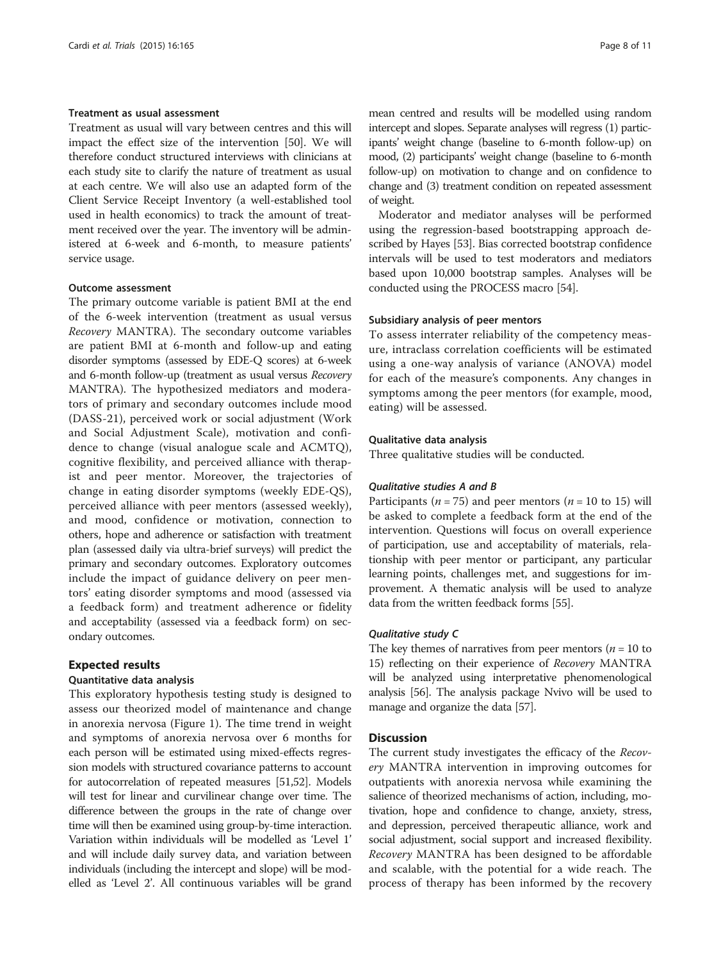#### Treatment as usual assessment

Treatment as usual will vary between centres and this will impact the effect size of the intervention [\[50\]](#page-9-0). We will therefore conduct structured interviews with clinicians at each study site to clarify the nature of treatment as usual at each centre. We will also use an adapted form of the Client Service Receipt Inventory (a well-established tool used in health economics) to track the amount of treatment received over the year. The inventory will be administered at 6-week and 6-month, to measure patients' service usage.

# Outcome assessment

The primary outcome variable is patient BMI at the end of the 6-week intervention (treatment as usual versus Recovery MANTRA). The secondary outcome variables are patient BMI at 6-month and follow-up and eating disorder symptoms (assessed by EDE-Q scores) at 6-week and 6-month follow-up (treatment as usual versus Recovery MANTRA). The hypothesized mediators and moderators of primary and secondary outcomes include mood (DASS-21), perceived work or social adjustment (Work and Social Adjustment Scale), motivation and confidence to change (visual analogue scale and ACMTQ), cognitive flexibility, and perceived alliance with therapist and peer mentor. Moreover, the trajectories of change in eating disorder symptoms (weekly EDE-QS), perceived alliance with peer mentors (assessed weekly), and mood, confidence or motivation, connection to others, hope and adherence or satisfaction with treatment plan (assessed daily via ultra-brief surveys) will predict the primary and secondary outcomes. Exploratory outcomes include the impact of guidance delivery on peer mentors' eating disorder symptoms and mood (assessed via a feedback form) and treatment adherence or fidelity and acceptability (assessed via a feedback form) on secondary outcomes.

# Expected results

#### Quantitative data analysis

This exploratory hypothesis testing study is designed to assess our theorized model of maintenance and change in anorexia nervosa (Figure [1\)](#page-2-0). The time trend in weight and symptoms of anorexia nervosa over 6 months for each person will be estimated using mixed-effects regression models with structured covariance patterns to account for autocorrelation of repeated measures [[51,52\]](#page-9-0). Models will test for linear and curvilinear change over time. The difference between the groups in the rate of change over time will then be examined using group-by-time interaction. Variation within individuals will be modelled as 'Level 1' and will include daily survey data, and variation between individuals (including the intercept and slope) will be modelled as 'Level 2'. All continuous variables will be grand

mean centred and results will be modelled using random intercept and slopes. Separate analyses will regress (1) participants' weight change (baseline to 6-month follow-up) on mood, (2) participants' weight change (baseline to 6-month follow-up) on motivation to change and on confidence to change and (3) treatment condition on repeated assessment of weight.

Moderator and mediator analyses will be performed using the regression-based bootstrapping approach described by Hayes [[53](#page-10-0)]. Bias corrected bootstrap confidence intervals will be used to test moderators and mediators based upon 10,000 bootstrap samples. Analyses will be conducted using the PROCESS macro [\[54\]](#page-10-0).

# Subsidiary analysis of peer mentors

To assess interrater reliability of the competency measure, intraclass correlation coefficients will be estimated using a one-way analysis of variance (ANOVA) model for each of the measure's components. Any changes in symptoms among the peer mentors (for example, mood, eating) will be assessed.

# Qualitative data analysis

Three qualitative studies will be conducted.

#### Qualitative studies A and B

Participants ( $n = 75$ ) and peer mentors ( $n = 10$  to 15) will be asked to complete a feedback form at the end of the intervention. Questions will focus on overall experience of participation, use and acceptability of materials, relationship with peer mentor or participant, any particular learning points, challenges met, and suggestions for improvement. A thematic analysis will be used to analyze data from the written feedback forms [\[55\]](#page-10-0).

# Qualitative study C

The key themes of narratives from peer mentors ( $n = 10$  to 15) reflecting on their experience of Recovery MANTRA will be analyzed using interpretative phenomenological analysis [[56](#page-10-0)]. The analysis package Nvivo will be used to manage and organize the data [[57](#page-10-0)].

# **Discussion**

The current study investigates the efficacy of the Recovery MANTRA intervention in improving outcomes for outpatients with anorexia nervosa while examining the salience of theorized mechanisms of action, including, motivation, hope and confidence to change, anxiety, stress, and depression, perceived therapeutic alliance, work and social adjustment, social support and increased flexibility. Recovery MANTRA has been designed to be affordable and scalable, with the potential for a wide reach. The process of therapy has been informed by the recovery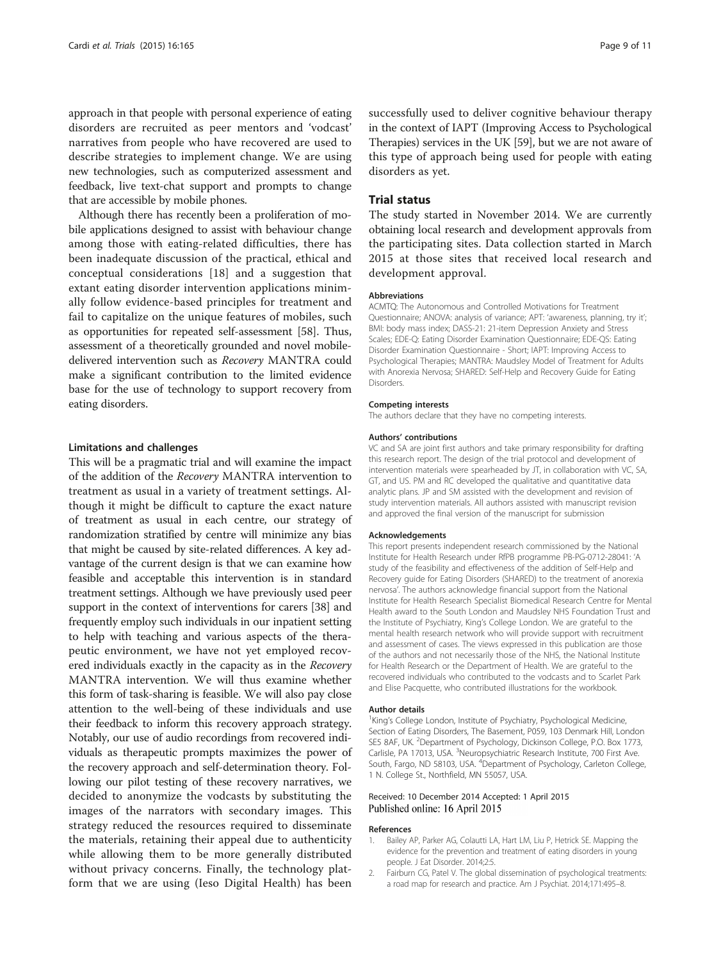<span id="page-8-0"></span>approach in that people with personal experience of eating disorders are recruited as peer mentors and 'vodcast' narratives from people who have recovered are used to describe strategies to implement change. We are using new technologies, such as computerized assessment and feedback, live text-chat support and prompts to change that are accessible by mobile phones.

Although there has recently been a proliferation of mobile applications designed to assist with behaviour change among those with eating-related difficulties, there has been inadequate discussion of the practical, ethical and conceptual considerations [[18](#page-9-0)] and a suggestion that extant eating disorder intervention applications minimally follow evidence-based principles for treatment and fail to capitalize on the unique features of mobiles, such as opportunities for repeated self-assessment [[58](#page-10-0)]. Thus, assessment of a theoretically grounded and novel mobiledelivered intervention such as Recovery MANTRA could make a significant contribution to the limited evidence base for the use of technology to support recovery from eating disorders.

#### Limitations and challenges

This will be a pragmatic trial and will examine the impact of the addition of the Recovery MANTRA intervention to treatment as usual in a variety of treatment settings. Although it might be difficult to capture the exact nature of treatment as usual in each centre, our strategy of randomization stratified by centre will minimize any bias that might be caused by site-related differences. A key advantage of the current design is that we can examine how feasible and acceptable this intervention is in standard treatment settings. Although we have previously used peer support in the context of interventions for carers [\[38\]](#page-9-0) and frequently employ such individuals in our inpatient setting to help with teaching and various aspects of the therapeutic environment, we have not yet employed recovered individuals exactly in the capacity as in the Recovery MANTRA intervention. We will thus examine whether this form of task-sharing is feasible. We will also pay close attention to the well-being of these individuals and use their feedback to inform this recovery approach strategy. Notably, our use of audio recordings from recovered individuals as therapeutic prompts maximizes the power of the recovery approach and self-determination theory. Following our pilot testing of these recovery narratives, we decided to anonymize the vodcasts by substituting the images of the narrators with secondary images. This strategy reduced the resources required to disseminate the materials, retaining their appeal due to authenticity while allowing them to be more generally distributed without privacy concerns. Finally, the technology platform that we are using (Ieso Digital Health) has been

successfully used to deliver cognitive behaviour therapy in the context of IAPT (Improving Access to Psychological Therapies) services in the UK [\[59\]](#page-10-0), but we are not aware of this type of approach being used for people with eating disorders as yet.

#### Trial status

The study started in November 2014. We are currently obtaining local research and development approvals from the participating sites. Data collection started in March 2015 at those sites that received local research and development approval.

#### Abbreviations

ACMTQ: The Autonomous and Controlled Motivations for Treatment Questionnaire; ANOVA: analysis of variance; APT: 'awareness, planning, try it'; BMI: body mass index; DASS-21: 21-item Depression Anxiety and Stress Scales; EDE-Q: Eating Disorder Examination Questionnaire; EDE-QS: Eating Disorder Examination Questionnaire - Short; IAPT: Improving Access to Psychological Therapies; MANTRA: Maudsley Model of Treatment for Adults with Anorexia Nervosa; SHARED: Self-Help and Recovery Guide for Eating Disorders.

#### Competing interests

The authors declare that they have no competing interests.

#### Authors' contributions

VC and SA are joint first authors and take primary responsibility for drafting this research report. The design of the trial protocol and development of intervention materials were spearheaded by JT, in collaboration with VC, SA, GT, and US. PM and RC developed the qualitative and quantitative data analytic plans. JP and SM assisted with the development and revision of study intervention materials. All authors assisted with manuscript revision and approved the final version of the manuscript for submission

#### Acknowledgements

This report presents independent research commissioned by the National Institute for Health Research under RfPB programme PB-PG-0712-28041: 'A study of the feasibility and effectiveness of the addition of Self-Help and Recovery guide for Eating Disorders (SHARED) to the treatment of anorexia nervosa'. The authors acknowledge financial support from the National Institute for Health Research Specialist Biomedical Research Centre for Mental Health award to the South London and Maudsley NHS Foundation Trust and the Institute of Psychiatry, King's College London. We are grateful to the mental health research network who will provide support with recruitment and assessment of cases. The views expressed in this publication are those of the authors and not necessarily those of the NHS, the National Institute for Health Research or the Department of Health. We are grateful to the recovered individuals who contributed to the vodcasts and to Scarlet Park and Elise Pacquette, who contributed illustrations for the workbook.

#### Author details

<sup>1</sup>King's College London, Institute of Psychiatry, Psychological Medicine Section of Eating Disorders, The Basement, P059, 103 Denmark Hill, London SE5 8AF, UK. <sup>2</sup>Department of Psychology, Dickinson College, P.O. Box 1773, Carlisle, PA 17013, USA. <sup>3</sup>Neuropsychiatric Research Institute, 700 First Ave South, Fargo, ND 58103, USA. <sup>4</sup>Department of Psychology, Carleton College, 1 N. College St., Northfield, MN 55057, USA.

# Received: 10 December 2014 Accepted: 1 April 2015 Published online: 16 April 2015

#### References

- 1. Bailey AP, Parker AG, Colautti LA, Hart LM, Liu P, Hetrick SE. Mapping the evidence for the prevention and treatment of eating disorders in young people. J Eat Disorder. 2014;2:5.
- 2. Fairburn CG, Patel V. The global dissemination of psychological treatments: a road map for research and practice. Am J Psychiat. 2014;171:495–8.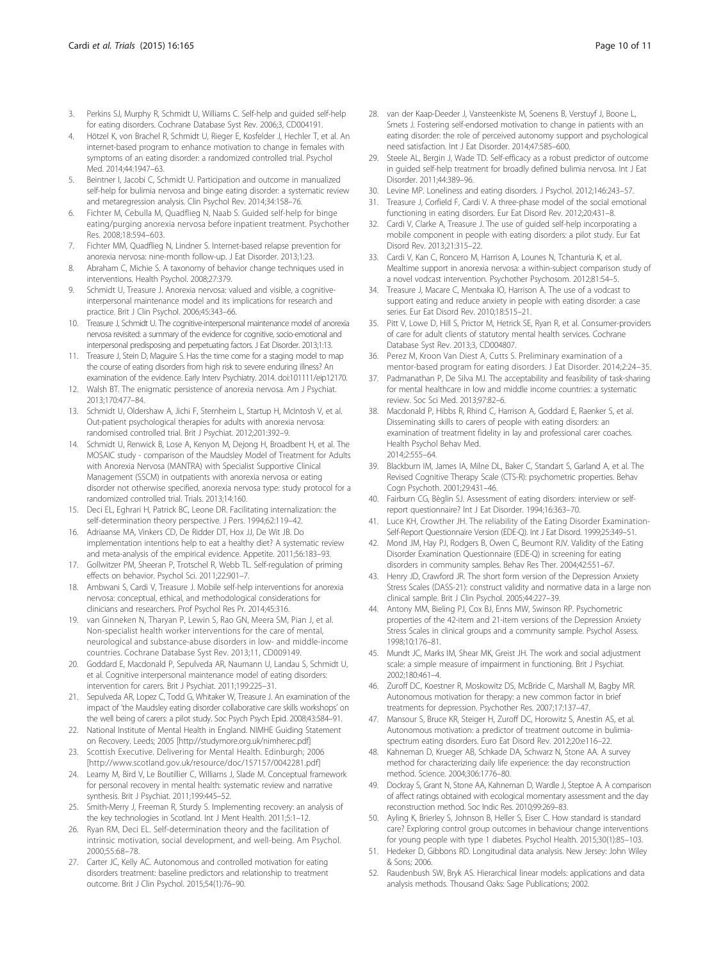- <span id="page-9-0"></span>3. Perkins SJ, Murphy R, Schmidt U, Williams C. Self-help and guided self-help for eating disorders. Cochrane Database Syst Rev. 2006;3, CD004191.
- 4. Hötzel K, von Brachel R, Schmidt U, Rieger E, Kosfelder J, Hechler T, et al. An internet-based program to enhance motivation to change in females with symptoms of an eating disorder: a randomized controlled trial. Psychol Med. 2014;44:1947–63.
- 5. Beintner I, Jacobi C, Schmidt U. Participation and outcome in manualized self-help for bulimia nervosa and binge eating disorder: a systematic review and metaregression analysis. Clin Psychol Rev. 2014;34:158–76.
- 6. Fichter M, Cebulla M, Quadflieg N, Naab S. Guided self-help for binge eating/purging anorexia nervosa before inpatient treatment. Psychother Res. 2008;18:594–603.
- 7. Fichter MM, Quadflieg N, Lindner S. Internet-based relapse prevention for anorexia nervosa: nine-month follow-up. J Eat Disorder. 2013;1:23.
- 8. Abraham C, Michie S. A taxonomy of behavior change techniques used in interventions. Health Psychol. 2008;27:379.
- 9. Schmidt U, Treasure J. Anorexia nervosa: valued and visible, a cognitiveinterpersonal maintenance model and its implications for research and practice. Brit J Clin Psychol. 2006;45:343–66.
- 10. Treasure J, Schmidt U. The cognitive-interpersonal maintenance model of anorexia nervosa revisited: a summary of the evidence for cognitive, socio-emotional and interpersonal predisposing and perpetuating factors. J Eat Disorder. 2013;1:13.
- 11. Treasure J, Stein D, Maguire S, Has the time come for a staging model to map the course of eating disorders from high risk to severe enduring illness? An examination of the evidence. Early Interv Psychiatry. 2014. doi:101111/eip12170.
- 12. Walsh BT. The enigmatic persistence of anorexia nervosa. Am J Psychiat. 2013;170:477–84.
- 13. Schmidt U, Oldershaw A, Jichi F, Sternheim L, Startup H, McIntosh V, et al. Out-patient psychological therapies for adults with anorexia nervosa: randomised controlled trial. Brit J Psychiat. 2012;201:392–9.
- 14. Schmidt U, Renwick B, Lose A, Kenyon M, Dejong H, Broadbent H, et al. The MOSAIC study - comparison of the Maudsley Model of Treatment for Adults with Anorexia Nervosa (MANTRA) with Specialist Supportive Clinical Management (SSCM) in outpatients with anorexia nervosa or eating disorder not otherwise specified, anorexia nervosa type: study protocol for a randomized controlled trial. Trials. 2013;14:160.
- 15. Deci EL, Eghrari H, Patrick BC, Leone DR. Facilitating internalization: the self-determination theory perspective. J Pers. 1994;62:119–42.
- 16. Adriaanse MA, Vinkers CD, De Ridder DT, Hox JJ, De Wit JB. Do implementation intentions help to eat a healthy diet? A systematic review and meta-analysis of the empirical evidence. Appetite. 2011;56:183–93.
- 17. Gollwitzer PM, Sheeran P, Trotschel R, Webb TL. Self-regulation of priming effects on behavior. Psychol Sci. 2011;22:901–7.
- 18. Ambwani S, Cardi V, Treasure J. Mobile self-help interventions for anorexia nervosa: conceptual, ethical, and methodological considerations for clinicians and researchers. Prof Psychol Res Pr. 2014;45:316.
- 19. van Ginneken N, Tharyan P, Lewin S, Rao GN, Meera SM, Pian J, et al. Non-specialist health worker interventions for the care of mental, neurological and substance-abuse disorders in low- and middle-income countries. Cochrane Database Syst Rev. 2013;11, CD009149.
- 20. Goddard E, Macdonald P, Sepulveda AR, Naumann U, Landau S, Schmidt U, et al. Cognitive interpersonal maintenance model of eating disorders: intervention for carers. Brit J Psychiat. 2011;199:225–31.
- 21. Sepulveda AR, Lopez C, Todd G, Whitaker W, Treasure J. An examination of the impact of 'the Maudsley eating disorder collaborative care skills workshops' on the well being of carers: a pilot study. Soc Psych Psych Epid. 2008;43:584–91.
- 22. National Institute of Mental Health in England. NIMHE Guiding Statement on Recovery. Leeds; 2005 [<http://studymore.org.uk/nimherec.pdf>]
- 23. Scottish Executive. Delivering for Mental Health. Edinburgh; 2006 [<http://www.scotland.gov.uk/resource/doc/157157/0042281.pdf>]
- 24. Leamy M, Bird V, Le Boutillier C, Williams J, Slade M. Conceptual framework for personal recovery in mental health: systematic review and narrative synthesis. Brit J Psychiat. 2011;199:445–52.
- 25. Smith-Merry J, Freeman R, Sturdy S. Implementing recovery: an analysis of the key technologies in Scotland. Int J Ment Health. 2011;5:1–12.
- 26. Ryan RM, Deci EL. Self-determination theory and the facilitation of intrinsic motivation, social development, and well-being. Am Psychol. 2000;55:68–78.
- 27. Carter JC, Kelly AC. Autonomous and controlled motivation for eating disorders treatment: baseline predictors and relationship to treatment outcome. Brit J Clin Psychol. 2015;54(1):76–90.
- 28. van der Kaap-Deeder J, Vansteenkiste M, Soenens B, Verstuyf J, Boone L, Smets J. Fostering self-endorsed motivation to change in patients with an eating disorder: the role of perceived autonomy support and psychological need satisfaction. Int J Eat Disorder. 2014;47:585–600.
- 29. Steele AL, Bergin J, Wade TD. Self-efficacy as a robust predictor of outcome in guided self-help treatment for broadly defined bulimia nervosa. Int J Eat Disorder. 2011;44:389–96.
- 30. Levine MP. Loneliness and eating disorders. J Psychol. 2012;146:243–57.
- 31. Treasure J, Corfield F, Cardi V. A three-phase model of the social emotional functioning in eating disorders. Eur Eat Disord Rev. 2012;20:431–8.
- 32. Cardi V, Clarke A, Treasure J. The use of guided self-help incorporating a mobile component in people with eating disorders: a pilot study. Eur Eat Disord Rev. 2013;21:315–22.
- 33. Cardi V, Kan C, Roncero M, Harrison A, Lounes N, Tchanturia K, et al. Mealtime support in anorexia nervosa: a within-subject comparison study of a novel vodcast intervention. Psychother Psychosom. 2012;81:54–5.
- 34. Treasure J, Macare C, Mentxaka IO, Harrison A. The use of a vodcast to support eating and reduce anxiety in people with eating disorder: a case series. Eur Eat Disord Rev. 2010;18:515–21.
- 35. Pitt V, Lowe D, Hill S, Prictor M, Hetrick SE, Ryan R, et al. Consumer-providers of care for adult clients of statutory mental health services. Cochrane Database Syst Rev. 2013;3, CD004807.
- 36. Perez M, Kroon Van Diest A, Cutts S. Preliminary examination of a mentor-based program for eating disorders. J Eat Disorder. 2014;2:24–35.
- 37. Padmanathan P, De Silva MJ. The acceptability and feasibility of task-sharing for mental healthcare in low and middle income countries: a systematic review. Soc Sci Med. 2013;97:82–6.
- 38. Macdonald P, Hibbs R, Rhind C, Harrison A, Goddard E, Raenker S, et al. Disseminating skills to carers of people with eating disorders: an examination of treatment fidelity in lay and professional carer coaches. Health Psychol Behav Med. 2014;2:555–64.
- 39. Blackburn IM, James IA, Milne DL, Baker C, Standart S, Garland A, et al. The Revised Cognitive Therapy Scale (CTS-R): psychometric properties. Behav Cogn Psychoth. 2001;29:431–46.
- 40. Fairburn CG, Bèglin SJ. Assessment of eating disorders: interview or selfreport questionnaire? Int J Eat Disorder. 1994;16:363–70.
- 41. Luce KH, Crowther JH. The reliability of the Eating Disorder Examination-Self-Report Questionnaire Version (EDE-Q). Int J Eat Disord. 1999;25:349–51.
- 42. Mond JM, Hay PJ, Rodgers B, Owen C, Beumont RJV. Validity of the Eating Disorder Examination Questionnaire (EDE-Q) in screening for eating disorders in community samples. Behav Res Ther. 2004;42:551–67.
- 43. Henry JD, Crawford JR. The short form version of the Depression Anxiety Stress Scales (DASS-21): construct validity and normative data in a large non clinical sample. Brit J Clin Psychol. 2005;44:227–39.
- 44. Antony MM, Bieling PJ, Cox BJ, Enns MW, Swinson RP. Psychometric properties of the 42-item and 21-item versions of the Depression Anxiety Stress Scales in clinical groups and a community sample. Psychol Assess. 1998;10:176–81.
- 45. Mundt JC, Marks IM, Shear MK, Greist JH. The work and social adjustment scale: a simple measure of impairment in functioning. Brit J Psychiat. 2002;180:461–4.
- 46. Zuroff DC, Koestner R, Moskowitz DS, McBride C, Marshall M, Bagby MR. Autonomous motivation for therapy: a new common factor in brief treatments for depression. Psychother Res. 2007;17:137–47.
- 47. Mansour S, Bruce KR, Steiger H, Zuroff DC, Horowitz S, Anestin AS, et al. Autonomous motivation: a predictor of treatment outcome in bulimiaspectrum eating disorders. Euro Eat Disord Rev. 2012;20:e116–22.
- 48. Kahneman D, Krueger AB, Schkade DA, Schwarz N, Stone AA. A survey method for characterizing daily life experience: the day reconstruction method. Science. 2004;306:1776–80.
- 49. Dockray S, Grant N, Stone AA, Kahneman D, Wardle J, Steptoe A. A comparison of affect ratings obtained with ecological momentary assessment and the day reconstruction method. Soc Indic Res. 2010;99:269–83.
- 50. Ayling K, Brierley S, Johnson B, Heller S, Eiser C. How standard is standard care? Exploring control group outcomes in behaviour change interventions for young people with type 1 diabetes. Psychol Health. 2015;30(1):85–103.
- 51. Hedeker D, Gibbons RD. Longitudinal data analysis. New Jersey: John Wiley & Sons; 2006.
- 52. Raudenbush SW, Bryk AS. Hierarchical linear models: applications and data analysis methods. Thousand Oaks: Sage Publications; 2002.